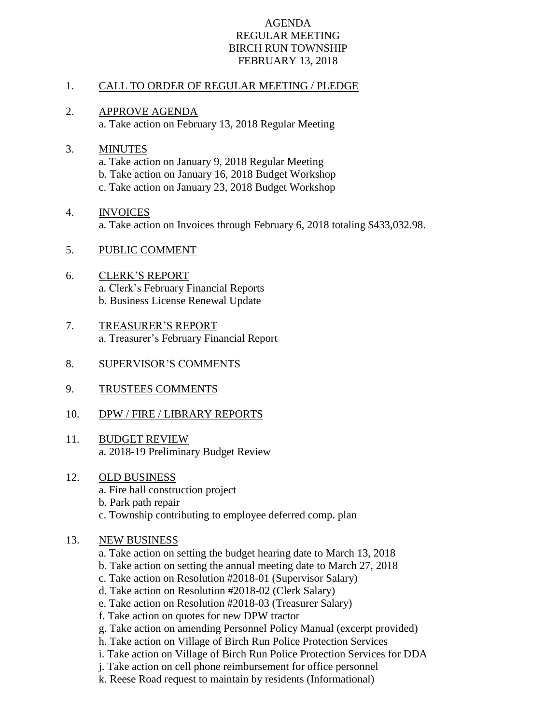### AGENDA REGULAR MEETING BIRCH RUN TOWNSHIP FEBRUARY 13, 2018

### 1. CALL TO ORDER OF REGULAR MEETING / PLEDGE

2. APPROVE AGENDA a. Take action on February 13, 2018 Regular Meeting

## 3. MINUTES a. Take action on January 9, 2018 Regular Meeting b. Take action on January 16, 2018 Budget Workshop c. Take action on January 23, 2018 Budget Workshop

## 4. INVOICES a. Take action on Invoices through February 6, 2018 totaling \$433,032.98.

- 5. PUBLIC COMMENT
- 6. CLERK'S REPORT a. Clerk's February Financial Reports b. Business License Renewal Update
- 7. TREASURER'S REPORT a. Treasurer's February Financial Report
- 8. SUPERVISOR'S COMMENTS
- 9. TRUSTEES COMMENTS
- 10. DPW / FIRE / LIBRARY REPORTS
- 11. BUDGET REVIEW a. 2018-19 Preliminary Budget Review
- 12. OLD BUSINESS
	- a. Fire hall construction project
	- b. Park path repair
	- c. Township contributing to employee deferred comp. plan

# 13. NEW BUSINESS

- a. Take action on setting the budget hearing date to March 13, 2018
- b. Take action on setting the annual meeting date to March 27, 2018
- c. Take action on Resolution #2018-01 (Supervisor Salary)
- d. Take action on Resolution #2018-02 (Clerk Salary)
- e. Take action on Resolution #2018-03 (Treasurer Salary)
- f. Take action on quotes for new DPW tractor
- g. Take action on amending Personnel Policy Manual (excerpt provided)
- h. Take action on Village of Birch Run Police Protection Services
- i. Take action on Village of Birch Run Police Protection Services for DDA
- j. Take action on cell phone reimbursement for office personnel
- k. Reese Road request to maintain by residents (Informational)